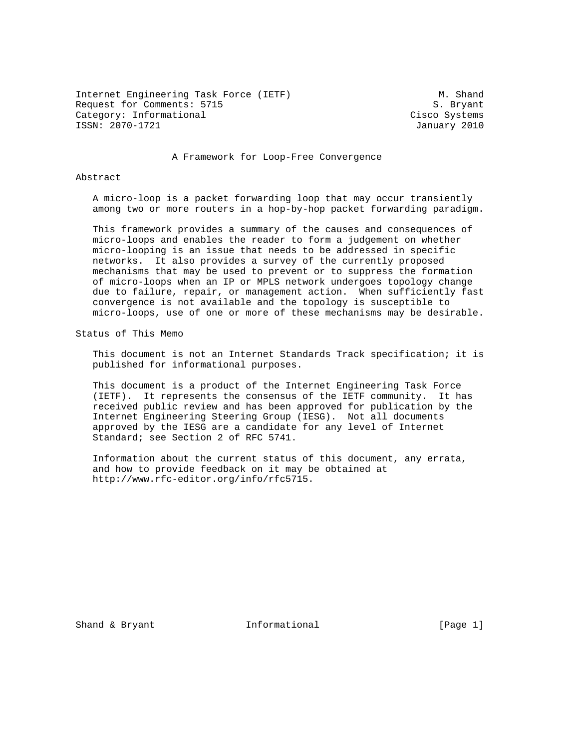Internet Engineering Task Force (IETF) M. Shand Request for Comments: 5715 S. Bryant Category: Informational Category: Cisco Systems ISSN: 2070-1721 January 2010

A Framework for Loop-Free Convergence

Abstract

 A micro-loop is a packet forwarding loop that may occur transiently among two or more routers in a hop-by-hop packet forwarding paradigm.

 This framework provides a summary of the causes and consequences of micro-loops and enables the reader to form a judgement on whether micro-looping is an issue that needs to be addressed in specific networks. It also provides a survey of the currently proposed mechanisms that may be used to prevent or to suppress the formation of micro-loops when an IP or MPLS network undergoes topology change due to failure, repair, or management action. When sufficiently fast convergence is not available and the topology is susceptible to micro-loops, use of one or more of these mechanisms may be desirable.

Status of This Memo

 This document is not an Internet Standards Track specification; it is published for informational purposes.

 This document is a product of the Internet Engineering Task Force (IETF). It represents the consensus of the IETF community. It has received public review and has been approved for publication by the Internet Engineering Steering Group (IESG). Not all documents approved by the IESG are a candidate for any level of Internet Standard; see Section 2 of RFC 5741.

 Information about the current status of this document, any errata, and how to provide feedback on it may be obtained at http://www.rfc-editor.org/info/rfc5715.

Shand & Bryant **Informational** [Page 1]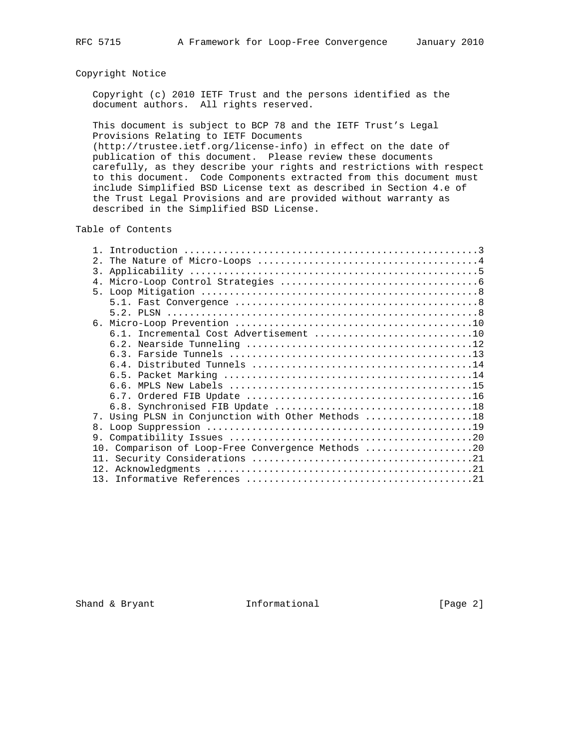# Copyright Notice

 Copyright (c) 2010 IETF Trust and the persons identified as the document authors. All rights reserved.

 This document is subject to BCP 78 and the IETF Trust's Legal Provisions Relating to IETF Documents

 (http://trustee.ietf.org/license-info) in effect on the date of publication of this document. Please review these documents carefully, as they describe your rights and restrictions with respect to this document. Code Components extracted from this document must include Simplified BSD License text as described in Section 4.e of the Trust Legal Provisions and are provided without warranty as described in the Simplified BSD License.

# Table of Contents

| 2.1                                                |  |
|----------------------------------------------------|--|
| $\overline{3}$ .                                   |  |
|                                                    |  |
|                                                    |  |
|                                                    |  |
|                                                    |  |
|                                                    |  |
| 6.1. Incremental Cost Advertisement 10             |  |
|                                                    |  |
|                                                    |  |
|                                                    |  |
|                                                    |  |
|                                                    |  |
|                                                    |  |
|                                                    |  |
| 7. Using PLSN in Conjunction with Other Methods 18 |  |
| 8.                                                 |  |
|                                                    |  |
| 10. Comparison of Loop-Free Convergence Methods 20 |  |
|                                                    |  |
|                                                    |  |
|                                                    |  |

Shand & Bryant **Informational** [Page 2]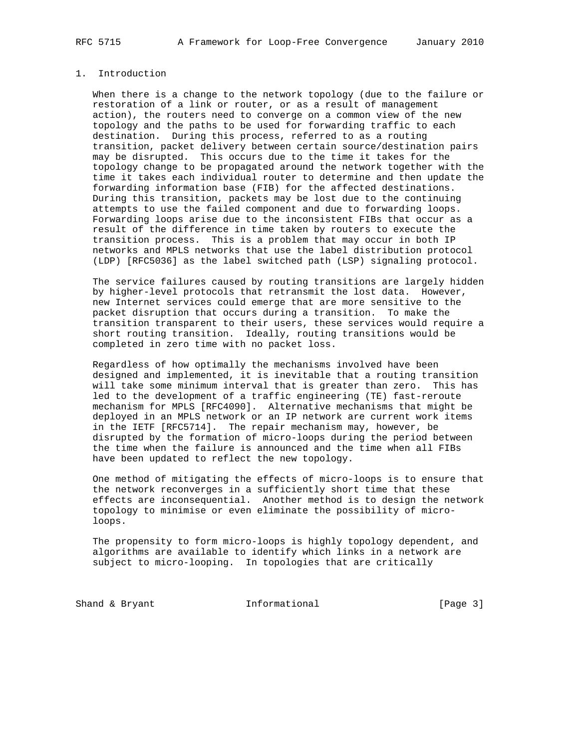# 1. Introduction

 When there is a change to the network topology (due to the failure or restoration of a link or router, or as a result of management action), the routers need to converge on a common view of the new topology and the paths to be used for forwarding traffic to each destination. During this process, referred to as a routing transition, packet delivery between certain source/destination pairs may be disrupted. This occurs due to the time it takes for the topology change to be propagated around the network together with the time it takes each individual router to determine and then update the forwarding information base (FIB) for the affected destinations. During this transition, packets may be lost due to the continuing attempts to use the failed component and due to forwarding loops. Forwarding loops arise due to the inconsistent FIBs that occur as a result of the difference in time taken by routers to execute the transition process. This is a problem that may occur in both IP networks and MPLS networks that use the label distribution protocol (LDP) [RFC5036] as the label switched path (LSP) signaling protocol.

 The service failures caused by routing transitions are largely hidden by higher-level protocols that retransmit the lost data. However, new Internet services could emerge that are more sensitive to the packet disruption that occurs during a transition. To make the transition transparent to their users, these services would require a short routing transition. Ideally, routing transitions would be completed in zero time with no packet loss.

 Regardless of how optimally the mechanisms involved have been designed and implemented, it is inevitable that a routing transition will take some minimum interval that is greater than zero. This has led to the development of a traffic engineering (TE) fast-reroute mechanism for MPLS [RFC4090]. Alternative mechanisms that might be deployed in an MPLS network or an IP network are current work items in the IETF [RFC5714]. The repair mechanism may, however, be disrupted by the formation of micro-loops during the period between the time when the failure is announced and the time when all FIBs have been updated to reflect the new topology.

 One method of mitigating the effects of micro-loops is to ensure that the network reconverges in a sufficiently short time that these effects are inconsequential. Another method is to design the network topology to minimise or even eliminate the possibility of micro loops.

 The propensity to form micro-loops is highly topology dependent, and algorithms are available to identify which links in a network are subject to micro-looping. In topologies that are critically

Shand & Bryant **Informational** [Page 3]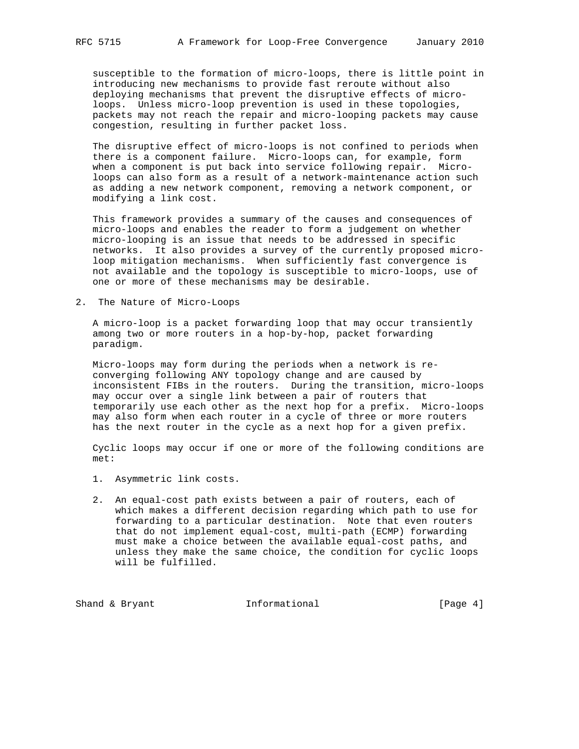susceptible to the formation of micro-loops, there is little point in introducing new mechanisms to provide fast reroute without also deploying mechanisms that prevent the disruptive effects of micro loops. Unless micro-loop prevention is used in these topologies, packets may not reach the repair and micro-looping packets may cause congestion, resulting in further packet loss.

 The disruptive effect of micro-loops is not confined to periods when there is a component failure. Micro-loops can, for example, form when a component is put back into service following repair. Micro loops can also form as a result of a network-maintenance action such as adding a new network component, removing a network component, or modifying a link cost.

 This framework provides a summary of the causes and consequences of micro-loops and enables the reader to form a judgement on whether micro-looping is an issue that needs to be addressed in specific networks. It also provides a survey of the currently proposed micro loop mitigation mechanisms. When sufficiently fast convergence is not available and the topology is susceptible to micro-loops, use of one or more of these mechanisms may be desirable.

2. The Nature of Micro-Loops

 A micro-loop is a packet forwarding loop that may occur transiently among two or more routers in a hop-by-hop, packet forwarding paradigm.

 Micro-loops may form during the periods when a network is re converging following ANY topology change and are caused by inconsistent FIBs in the routers. During the transition, micro-loops may occur over a single link between a pair of routers that temporarily use each other as the next hop for a prefix. Micro-loops may also form when each router in a cycle of three or more routers has the next router in the cycle as a next hop for a given prefix.

 Cyclic loops may occur if one or more of the following conditions are met:

- 1. Asymmetric link costs.
- 2. An equal-cost path exists between a pair of routers, each of which makes a different decision regarding which path to use for forwarding to a particular destination. Note that even routers that do not implement equal-cost, multi-path (ECMP) forwarding must make a choice between the available equal-cost paths, and unless they make the same choice, the condition for cyclic loops will be fulfilled.

Shand & Bryant **Informational** [Page 4]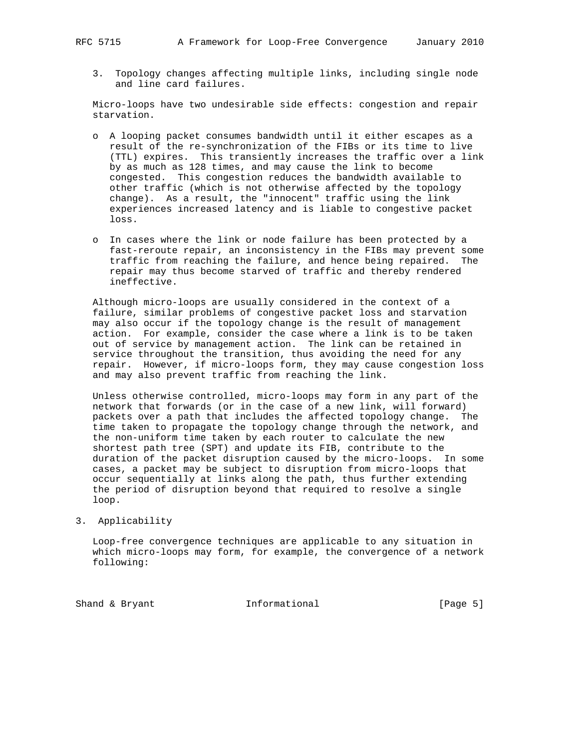3. Topology changes affecting multiple links, including single node and line card failures.

 Micro-loops have two undesirable side effects: congestion and repair starvation.

- o A looping packet consumes bandwidth until it either escapes as a result of the re-synchronization of the FIBs or its time to live (TTL) expires. This transiently increases the traffic over a link by as much as 128 times, and may cause the link to become congested. This congestion reduces the bandwidth available to other traffic (which is not otherwise affected by the topology change). As a result, the "innocent" traffic using the link experiences increased latency and is liable to congestive packet loss.
- o In cases where the link or node failure has been protected by a fast-reroute repair, an inconsistency in the FIBs may prevent some traffic from reaching the failure, and hence being repaired. The repair may thus become starved of traffic and thereby rendered ineffective.

 Although micro-loops are usually considered in the context of a failure, similar problems of congestive packet loss and starvation may also occur if the topology change is the result of management action. For example, consider the case where a link is to be taken out of service by management action. The link can be retained in service throughout the transition, thus avoiding the need for any repair. However, if micro-loops form, they may cause congestion loss and may also prevent traffic from reaching the link.

 Unless otherwise controlled, micro-loops may form in any part of the network that forwards (or in the case of a new link, will forward) packets over a path that includes the affected topology change. The time taken to propagate the topology change through the network, and the non-uniform time taken by each router to calculate the new shortest path tree (SPT) and update its FIB, contribute to the duration of the packet disruption caused by the micro-loops. In some cases, a packet may be subject to disruption from micro-loops that occur sequentially at links along the path, thus further extending the period of disruption beyond that required to resolve a single loop.

3. Applicability

 Loop-free convergence techniques are applicable to any situation in which micro-loops may form, for example, the convergence of a network following:

Shand & Bryant **Informational** [Page 5]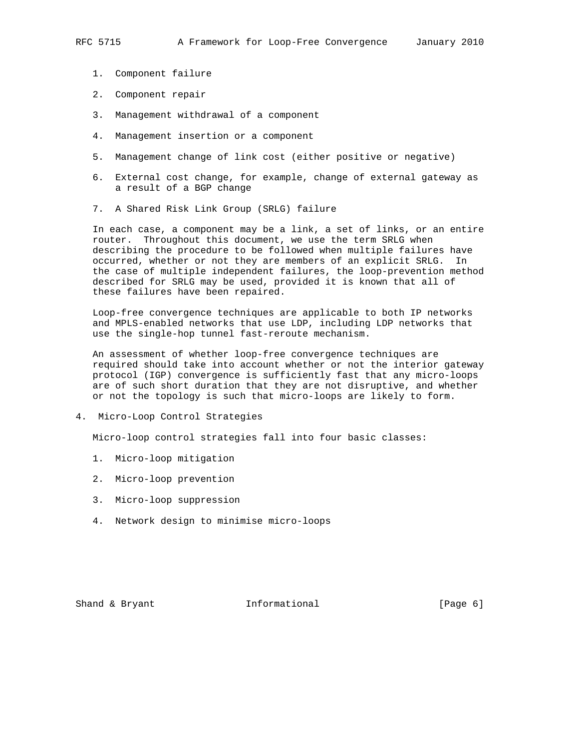- 1. Component failure
- 2. Component repair
- 3. Management withdrawal of a component
- 4. Management insertion or a component
- 5. Management change of link cost (either positive or negative)
- 6. External cost change, for example, change of external gateway as a result of a BGP change
- 7. A Shared Risk Link Group (SRLG) failure

 In each case, a component may be a link, a set of links, or an entire router. Throughout this document, we use the term SRLG when describing the procedure to be followed when multiple failures have occurred, whether or not they are members of an explicit SRLG. In the case of multiple independent failures, the loop-prevention method described for SRLG may be used, provided it is known that all of these failures have been repaired.

 Loop-free convergence techniques are applicable to both IP networks and MPLS-enabled networks that use LDP, including LDP networks that use the single-hop tunnel fast-reroute mechanism.

 An assessment of whether loop-free convergence techniques are required should take into account whether or not the interior gateway protocol (IGP) convergence is sufficiently fast that any micro-loops are of such short duration that they are not disruptive, and whether or not the topology is such that micro-loops are likely to form.

4. Micro-Loop Control Strategies

Micro-loop control strategies fall into four basic classes:

- 1. Micro-loop mitigation
- 2. Micro-loop prevention
- 3. Micro-loop suppression
- 4. Network design to minimise micro-loops

Shand & Bryant **Informational** [Page 6]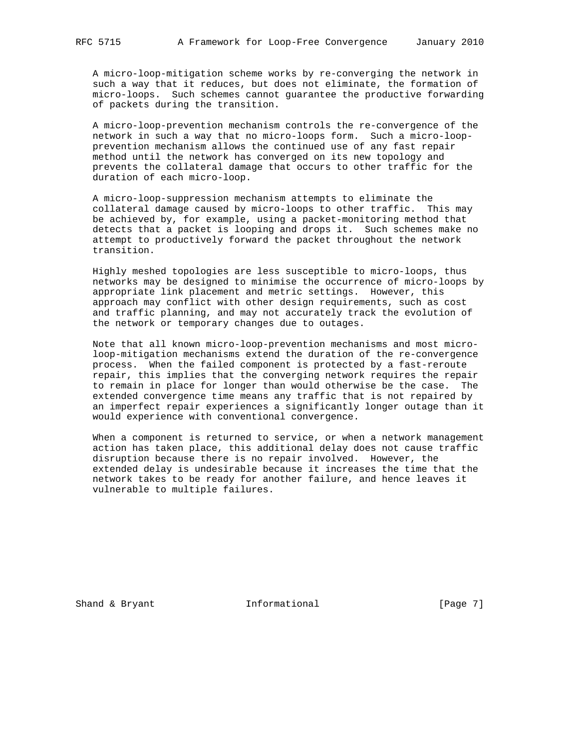A micro-loop-mitigation scheme works by re-converging the network in such a way that it reduces, but does not eliminate, the formation of micro-loops. Such schemes cannot guarantee the productive forwarding of packets during the transition.

 A micro-loop-prevention mechanism controls the re-convergence of the network in such a way that no micro-loops form. Such a micro-loop prevention mechanism allows the continued use of any fast repair method until the network has converged on its new topology and prevents the collateral damage that occurs to other traffic for the duration of each micro-loop.

 A micro-loop-suppression mechanism attempts to eliminate the collateral damage caused by micro-loops to other traffic. This may be achieved by, for example, using a packet-monitoring method that detects that a packet is looping and drops it. Such schemes make no attempt to productively forward the packet throughout the network transition.

 Highly meshed topologies are less susceptible to micro-loops, thus networks may be designed to minimise the occurrence of micro-loops by appropriate link placement and metric settings. However, this approach may conflict with other design requirements, such as cost and traffic planning, and may not accurately track the evolution of the network or temporary changes due to outages.

 Note that all known micro-loop-prevention mechanisms and most micro loop-mitigation mechanisms extend the duration of the re-convergence process. When the failed component is protected by a fast-reroute repair, this implies that the converging network requires the repair to remain in place for longer than would otherwise be the case. The extended convergence time means any traffic that is not repaired by an imperfect repair experiences a significantly longer outage than it would experience with conventional convergence.

 When a component is returned to service, or when a network management action has taken place, this additional delay does not cause traffic disruption because there is no repair involved. However, the extended delay is undesirable because it increases the time that the network takes to be ready for another failure, and hence leaves it vulnerable to multiple failures.

Shand & Bryant **Informational** [Page 7]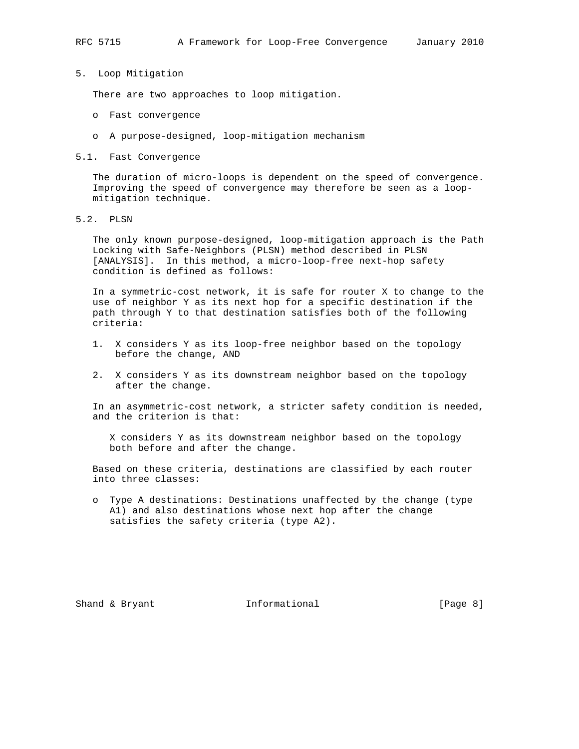There are two approaches to loop mitigation.

- o Fast convergence
- o A purpose-designed, loop-mitigation mechanism
- 5.1. Fast Convergence

 The duration of micro-loops is dependent on the speed of convergence. Improving the speed of convergence may therefore be seen as a loop mitigation technique.

5.2. PLSN

 The only known purpose-designed, loop-mitigation approach is the Path Locking with Safe-Neighbors (PLSN) method described in PLSN [ANALYSIS]. In this method, a micro-loop-free next-hop safety condition is defined as follows:

 In a symmetric-cost network, it is safe for router X to change to the use of neighbor Y as its next hop for a specific destination if the path through Y to that destination satisfies both of the following criteria:

- 1. X considers Y as its loop-free neighbor based on the topology before the change, AND
- 2. X considers Y as its downstream neighbor based on the topology after the change.

 In an asymmetric-cost network, a stricter safety condition is needed, and the criterion is that:

 X considers Y as its downstream neighbor based on the topology both before and after the change.

 Based on these criteria, destinations are classified by each router into three classes:

 o Type A destinations: Destinations unaffected by the change (type A1) and also destinations whose next hop after the change satisfies the safety criteria (type A2).

Shand & Bryant **Informational** [Page 8]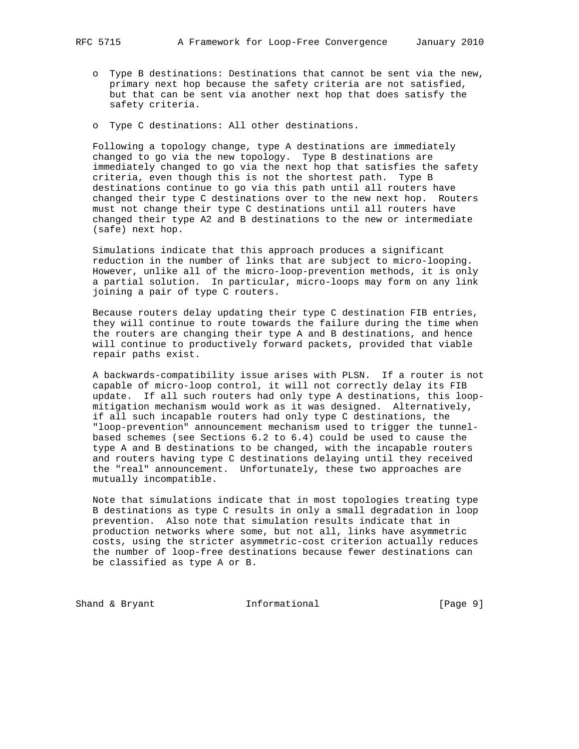- o Type B destinations: Destinations that cannot be sent via the new, primary next hop because the safety criteria are not satisfied, but that can be sent via another next hop that does satisfy the safety criteria.
- o Type C destinations: All other destinations.

 Following a topology change, type A destinations are immediately changed to go via the new topology. Type B destinations are immediately changed to go via the next hop that satisfies the safety criteria, even though this is not the shortest path. Type B destinations continue to go via this path until all routers have changed their type C destinations over to the new next hop. Routers must not change their type C destinations until all routers have changed their type A2 and B destinations to the new or intermediate (safe) next hop.

 Simulations indicate that this approach produces a significant reduction in the number of links that are subject to micro-looping. However, unlike all of the micro-loop-prevention methods, it is only a partial solution. In particular, micro-loops may form on any link joining a pair of type C routers.

 Because routers delay updating their type C destination FIB entries, they will continue to route towards the failure during the time when the routers are changing their type A and B destinations, and hence will continue to productively forward packets, provided that viable repair paths exist.

 A backwards-compatibility issue arises with PLSN. If a router is not capable of micro-loop control, it will not correctly delay its FIB update. If all such routers had only type A destinations, this loop mitigation mechanism would work as it was designed. Alternatively, if all such incapable routers had only type C destinations, the "loop-prevention" announcement mechanism used to trigger the tunnel based schemes (see Sections 6.2 to 6.4) could be used to cause the type A and B destinations to be changed, with the incapable routers and routers having type C destinations delaying until they received the "real" announcement. Unfortunately, these two approaches are mutually incompatible.

 Note that simulations indicate that in most topologies treating type B destinations as type C results in only a small degradation in loop prevention. Also note that simulation results indicate that in production networks where some, but not all, links have asymmetric costs, using the stricter asymmetric-cost criterion actually reduces the number of loop-free destinations because fewer destinations can be classified as type A or B.

Shand & Bryant **Informational** [Page 9]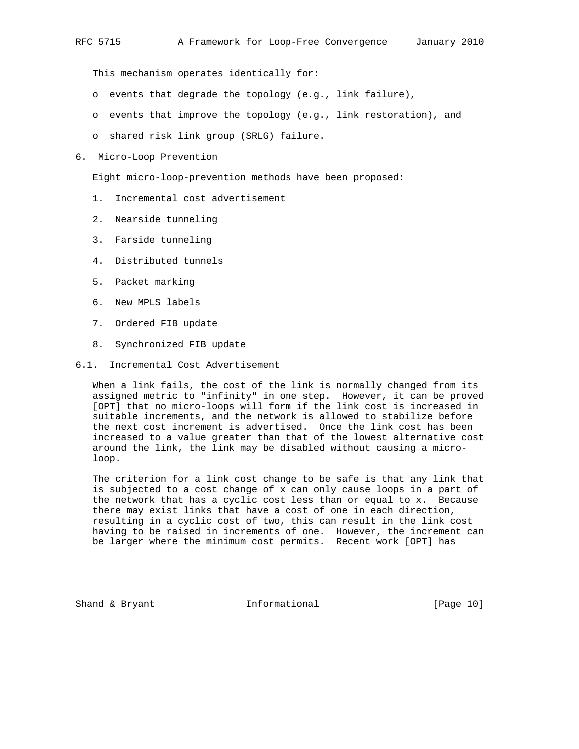This mechanism operates identically for:

- o events that degrade the topology (e.g., link failure),
- o events that improve the topology (e.g., link restoration), and
- o shared risk link group (SRLG) failure.
- 6. Micro-Loop Prevention

Eight micro-loop-prevention methods have been proposed:

- 1. Incremental cost advertisement
- 2. Nearside tunneling
- 3. Farside tunneling
- 4. Distributed tunnels
- 5. Packet marking
- 6. New MPLS labels
- 7. Ordered FIB update
- 8. Synchronized FIB update
- 6.1. Incremental Cost Advertisement

 When a link fails, the cost of the link is normally changed from its assigned metric to "infinity" in one step. However, it can be proved [OPT] that no micro-loops will form if the link cost is increased in suitable increments, and the network is allowed to stabilize before the next cost increment is advertised. Once the link cost has been increased to a value greater than that of the lowest alternative cost around the link, the link may be disabled without causing a micro loop.

 The criterion for a link cost change to be safe is that any link that is subjected to a cost change of x can only cause loops in a part of the network that has a cyclic cost less than or equal to x. Because there may exist links that have a cost of one in each direction, resulting in a cyclic cost of two, this can result in the link cost having to be raised in increments of one. However, the increment can be larger where the minimum cost permits. Recent work [OPT] has

Shand & Bryant **Informational** [Page 10]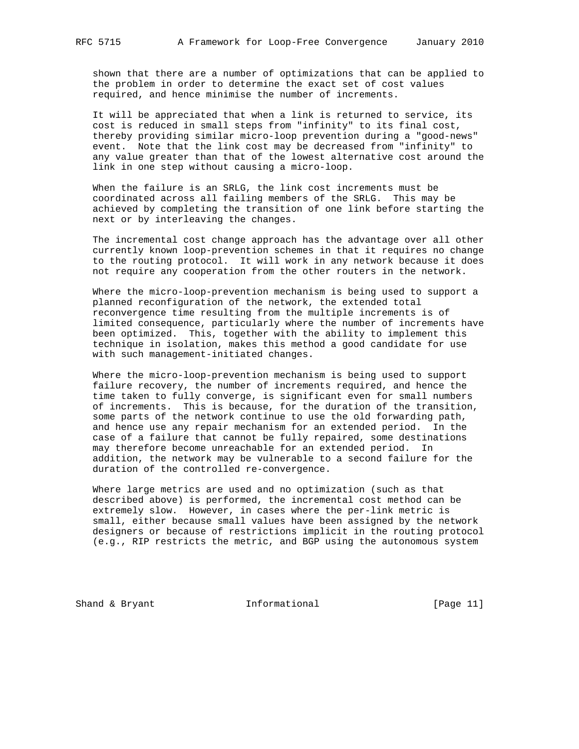shown that there are a number of optimizations that can be applied to the problem in order to determine the exact set of cost values required, and hence minimise the number of increments.

 It will be appreciated that when a link is returned to service, its cost is reduced in small steps from "infinity" to its final cost, thereby providing similar micro-loop prevention during a "good-news" event. Note that the link cost may be decreased from "infinity" to any value greater than that of the lowest alternative cost around the link in one step without causing a micro-loop.

 When the failure is an SRLG, the link cost increments must be coordinated across all failing members of the SRLG. This may be achieved by completing the transition of one link before starting the next or by interleaving the changes.

 The incremental cost change approach has the advantage over all other currently known loop-prevention schemes in that it requires no change to the routing protocol. It will work in any network because it does not require any cooperation from the other routers in the network.

 Where the micro-loop-prevention mechanism is being used to support a planned reconfiguration of the network, the extended total reconvergence time resulting from the multiple increments is of limited consequence, particularly where the number of increments have been optimized. This, together with the ability to implement this technique in isolation, makes this method a good candidate for use with such management-initiated changes.

 Where the micro-loop-prevention mechanism is being used to support failure recovery, the number of increments required, and hence the time taken to fully converge, is significant even for small numbers of increments. This is because, for the duration of the transition, some parts of the network continue to use the old forwarding path, and hence use any repair mechanism for an extended period. In the case of a failure that cannot be fully repaired, some destinations may therefore become unreachable for an extended period. In addition, the network may be vulnerable to a second failure for the duration of the controlled re-convergence.

 Where large metrics are used and no optimization (such as that described above) is performed, the incremental cost method can be extremely slow. However, in cases where the per-link metric is small, either because small values have been assigned by the network designers or because of restrictions implicit in the routing protocol (e.g., RIP restricts the metric, and BGP using the autonomous system

Shand & Bryant **Informational** [Page 11]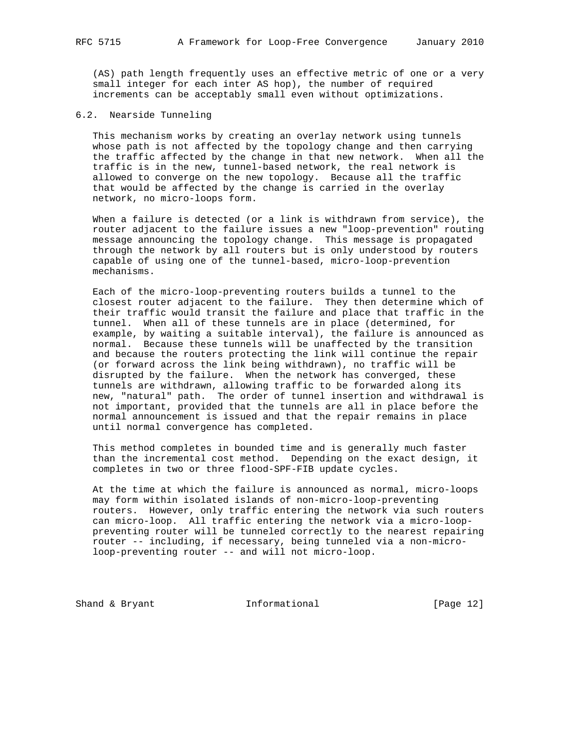(AS) path length frequently uses an effective metric of one or a very small integer for each inter AS hop), the number of required increments can be acceptably small even without optimizations.

# 6.2. Nearside Tunneling

 This mechanism works by creating an overlay network using tunnels whose path is not affected by the topology change and then carrying the traffic affected by the change in that new network. When all the traffic is in the new, tunnel-based network, the real network is allowed to converge on the new topology. Because all the traffic that would be affected by the change is carried in the overlay network, no micro-loops form.

 When a failure is detected (or a link is withdrawn from service), the router adjacent to the failure issues a new "loop-prevention" routing message announcing the topology change. This message is propagated through the network by all routers but is only understood by routers capable of using one of the tunnel-based, micro-loop-prevention mechanisms.

 Each of the micro-loop-preventing routers builds a tunnel to the closest router adjacent to the failure. They then determine which of their traffic would transit the failure and place that traffic in the tunnel. When all of these tunnels are in place (determined, for example, by waiting a suitable interval), the failure is announced as normal. Because these tunnels will be unaffected by the transition and because the routers protecting the link will continue the repair (or forward across the link being withdrawn), no traffic will be disrupted by the failure. When the network has converged, these tunnels are withdrawn, allowing traffic to be forwarded along its new, "natural" path. The order of tunnel insertion and withdrawal is not important, provided that the tunnels are all in place before the normal announcement is issued and that the repair remains in place until normal convergence has completed.

 This method completes in bounded time and is generally much faster than the incremental cost method. Depending on the exact design, it completes in two or three flood-SPF-FIB update cycles.

 At the time at which the failure is announced as normal, micro-loops may form within isolated islands of non-micro-loop-preventing routers. However, only traffic entering the network via such routers can micro-loop. All traffic entering the network via a micro-loop preventing router will be tunneled correctly to the nearest repairing router -- including, if necessary, being tunneled via a non-micro loop-preventing router -- and will not micro-loop.

Shand & Bryant **Informational** [Page 12]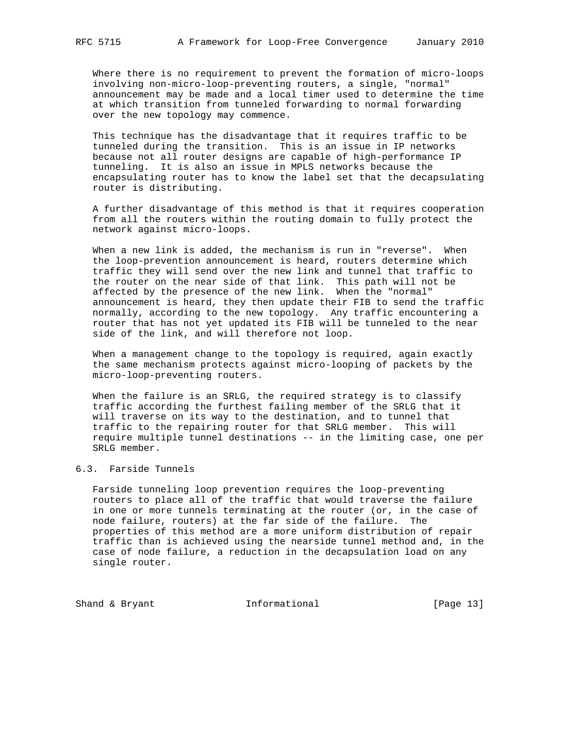Where there is no requirement to prevent the formation of micro-loops involving non-micro-loop-preventing routers, a single, "normal" announcement may be made and a local timer used to determine the time at which transition from tunneled forwarding to normal forwarding over the new topology may commence.

 This technique has the disadvantage that it requires traffic to be tunneled during the transition. This is an issue in IP networks because not all router designs are capable of high-performance IP tunneling. It is also an issue in MPLS networks because the encapsulating router has to know the label set that the decapsulating router is distributing.

 A further disadvantage of this method is that it requires cooperation from all the routers within the routing domain to fully protect the network against micro-loops.

 When a new link is added, the mechanism is run in "reverse". When the loop-prevention announcement is heard, routers determine which traffic they will send over the new link and tunnel that traffic to the router on the near side of that link. This path will not be affected by the presence of the new link. When the "normal" announcement is heard, they then update their FIB to send the traffic normally, according to the new topology. Any traffic encountering a router that has not yet updated its FIB will be tunneled to the near side of the link, and will therefore not loop.

When a management change to the topology is required, again exactly the same mechanism protects against micro-looping of packets by the micro-loop-preventing routers.

 When the failure is an SRLG, the required strategy is to classify traffic according the furthest failing member of the SRLG that it will traverse on its way to the destination, and to tunnel that traffic to the repairing router for that SRLG member. This will require multiple tunnel destinations -- in the limiting case, one per SRLG member.

# 6.3. Farside Tunnels

 Farside tunneling loop prevention requires the loop-preventing routers to place all of the traffic that would traverse the failure in one or more tunnels terminating at the router (or, in the case of node failure, routers) at the far side of the failure. The properties of this method are a more uniform distribution of repair traffic than is achieved using the nearside tunnel method and, in the case of node failure, a reduction in the decapsulation load on any single router.

Shand & Bryant **Informational** [Page 13]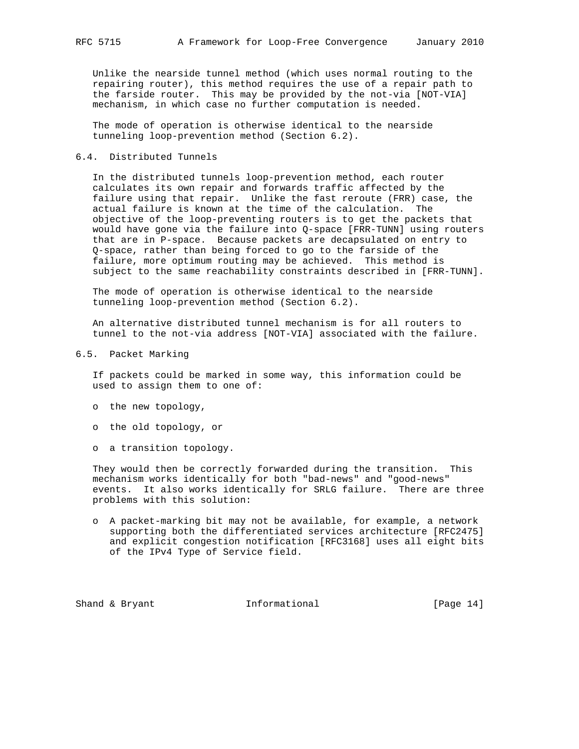Unlike the nearside tunnel method (which uses normal routing to the repairing router), this method requires the use of a repair path to the farside router. This may be provided by the not-via [NOT-VIA] mechanism, in which case no further computation is needed.

 The mode of operation is otherwise identical to the nearside tunneling loop-prevention method (Section 6.2).

# 6.4. Distributed Tunnels

 In the distributed tunnels loop-prevention method, each router calculates its own repair and forwards traffic affected by the failure using that repair. Unlike the fast reroute (FRR) case, the actual failure is known at the time of the calculation. The objective of the loop-preventing routers is to get the packets that would have gone via the failure into Q-space [FRR-TUNN] using routers that are in P-space. Because packets are decapsulated on entry to Q-space, rather than being forced to go to the farside of the failure, more optimum routing may be achieved. This method is subject to the same reachability constraints described in [FRR-TUNN].

 The mode of operation is otherwise identical to the nearside tunneling loop-prevention method (Section 6.2).

 An alternative distributed tunnel mechanism is for all routers to tunnel to the not-via address [NOT-VIA] associated with the failure.

6.5. Packet Marking

 If packets could be marked in some way, this information could be used to assign them to one of:

- o the new topology,
- o the old topology, or
- o a transition topology.

 They would then be correctly forwarded during the transition. This mechanism works identically for both "bad-news" and "good-news" events. It also works identically for SRLG failure. There are three problems with this solution:

 o A packet-marking bit may not be available, for example, a network supporting both the differentiated services architecture [RFC2475] and explicit congestion notification [RFC3168] uses all eight bits of the IPv4 Type of Service field.

Shand & Bryant **Informational** [Page 14]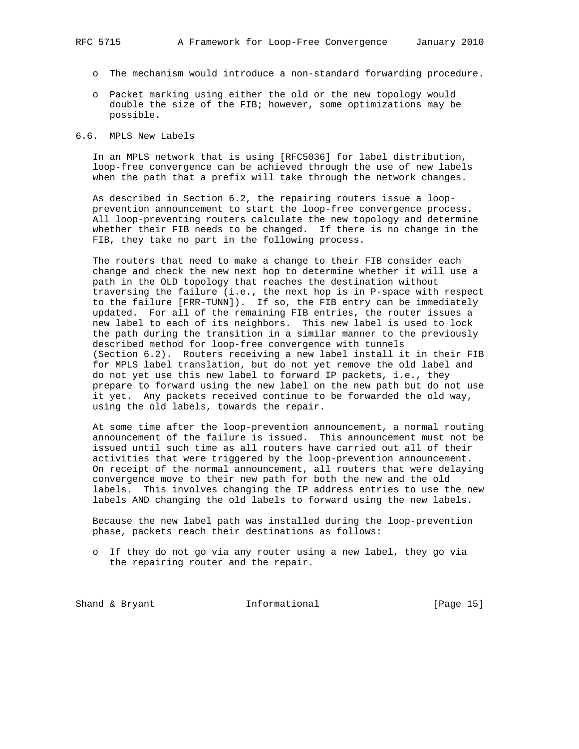- o The mechanism would introduce a non-standard forwarding procedure.
- o Packet marking using either the old or the new topology would double the size of the FIB; however, some optimizations may be possible.

# 6.6. MPLS New Labels

 In an MPLS network that is using [RFC5036] for label distribution, loop-free convergence can be achieved through the use of new labels when the path that a prefix will take through the network changes.

 As described in Section 6.2, the repairing routers issue a loop prevention announcement to start the loop-free convergence process. All loop-preventing routers calculate the new topology and determine whether their FIB needs to be changed. If there is no change in the FIB, they take no part in the following process.

 The routers that need to make a change to their FIB consider each change and check the new next hop to determine whether it will use a path in the OLD topology that reaches the destination without traversing the failure (i.e., the next hop is in P-space with respect to the failure [FRR-TUNN]). If so, the FIB entry can be immediately updated. For all of the remaining FIB entries, the router issues a new label to each of its neighbors. This new label is used to lock the path during the transition in a similar manner to the previously described method for loop-free convergence with tunnels (Section 6.2). Routers receiving a new label install it in their FIB for MPLS label translation, but do not yet remove the old label and do not yet use this new label to forward IP packets, i.e., they prepare to forward using the new label on the new path but do not use it yet. Any packets received continue to be forwarded the old way, using the old labels, towards the repair.

 At some time after the loop-prevention announcement, a normal routing announcement of the failure is issued. This announcement must not be issued until such time as all routers have carried out all of their activities that were triggered by the loop-prevention announcement. On receipt of the normal announcement, all routers that were delaying convergence move to their new path for both the new and the old labels. This involves changing the IP address entries to use the new labels AND changing the old labels to forward using the new labels.

 Because the new label path was installed during the loop-prevention phase, packets reach their destinations as follows:

 o If they do not go via any router using a new label, they go via the repairing router and the repair.

Shand & Bryant **Informational** [Page 15]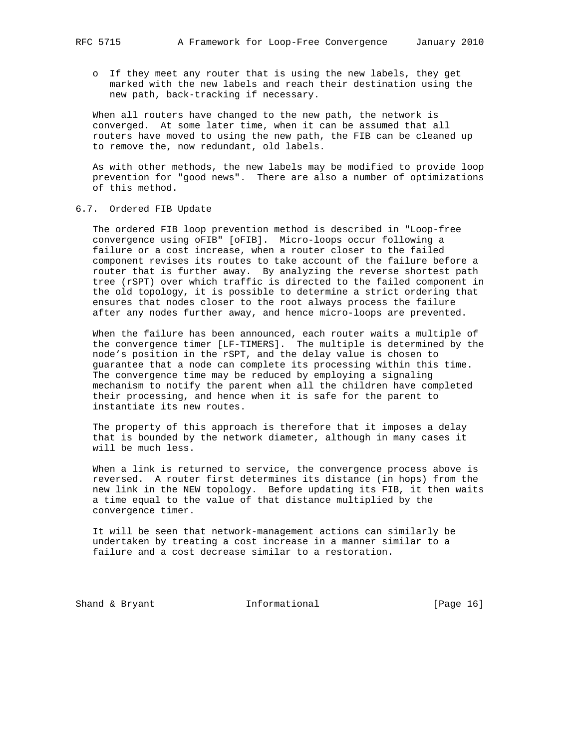- - o If they meet any router that is using the new labels, they get marked with the new labels and reach their destination using the new path, back-tracking if necessary.

 When all routers have changed to the new path, the network is converged. At some later time, when it can be assumed that all routers have moved to using the new path, the FIB can be cleaned up to remove the, now redundant, old labels.

 As with other methods, the new labels may be modified to provide loop prevention for "good news". There are also a number of optimizations of this method.

## 6.7. Ordered FIB Update

 The ordered FIB loop prevention method is described in "Loop-free convergence using oFIB" [oFIB]. Micro-loops occur following a failure or a cost increase, when a router closer to the failed component revises its routes to take account of the failure before a router that is further away. By analyzing the reverse shortest path tree (rSPT) over which traffic is directed to the failed component in the old topology, it is possible to determine a strict ordering that ensures that nodes closer to the root always process the failure after any nodes further away, and hence micro-loops are prevented.

 When the failure has been announced, each router waits a multiple of the convergence timer [LF-TIMERS]. The multiple is determined by the node's position in the rSPT, and the delay value is chosen to guarantee that a node can complete its processing within this time. The convergence time may be reduced by employing a signaling mechanism to notify the parent when all the children have completed their processing, and hence when it is safe for the parent to instantiate its new routes.

 The property of this approach is therefore that it imposes a delay that is bounded by the network diameter, although in many cases it will be much less.

 When a link is returned to service, the convergence process above is reversed. A router first determines its distance (in hops) from the new link in the NEW topology. Before updating its FIB, it then waits a time equal to the value of that distance multiplied by the convergence timer.

 It will be seen that network-management actions can similarly be undertaken by treating a cost increase in a manner similar to a failure and a cost decrease similar to a restoration.

Shand & Bryant **Informational** [Page 16]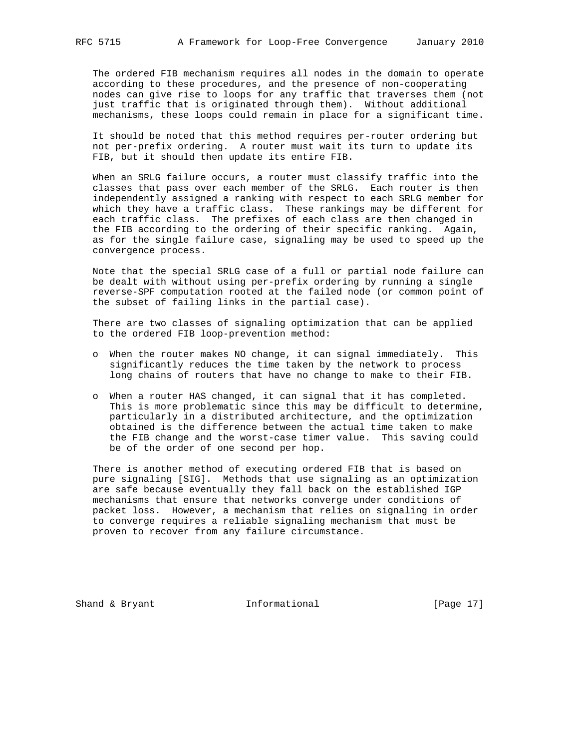The ordered FIB mechanism requires all nodes in the domain to operate according to these procedures, and the presence of non-cooperating nodes can give rise to loops for any traffic that traverses them (not just traffic that is originated through them). Without additional mechanisms, these loops could remain in place for a significant time.

 It should be noted that this method requires per-router ordering but not per-prefix ordering. A router must wait its turn to update its FIB, but it should then update its entire FIB.

 When an SRLG failure occurs, a router must classify traffic into the classes that pass over each member of the SRLG. Each router is then independently assigned a ranking with respect to each SRLG member for which they have a traffic class. These rankings may be different for each traffic class. The prefixes of each class are then changed in the FIB according to the ordering of their specific ranking. Again, as for the single failure case, signaling may be used to speed up the convergence process.

 Note that the special SRLG case of a full or partial node failure can be dealt with without using per-prefix ordering by running a single reverse-SPF computation rooted at the failed node (or common point of the subset of failing links in the partial case).

 There are two classes of signaling optimization that can be applied to the ordered FIB loop-prevention method:

- o When the router makes NO change, it can signal immediately. This significantly reduces the time taken by the network to process long chains of routers that have no change to make to their FIB.
- o When a router HAS changed, it can signal that it has completed. This is more problematic since this may be difficult to determine, particularly in a distributed architecture, and the optimization obtained is the difference between the actual time taken to make the FIB change and the worst-case timer value. This saving could be of the order of one second per hop.

 There is another method of executing ordered FIB that is based on pure signaling [SIG]. Methods that use signaling as an optimization are safe because eventually they fall back on the established IGP mechanisms that ensure that networks converge under conditions of packet loss. However, a mechanism that relies on signaling in order to converge requires a reliable signaling mechanism that must be proven to recover from any failure circumstance.

Shand & Bryant **Informational** [Page 17]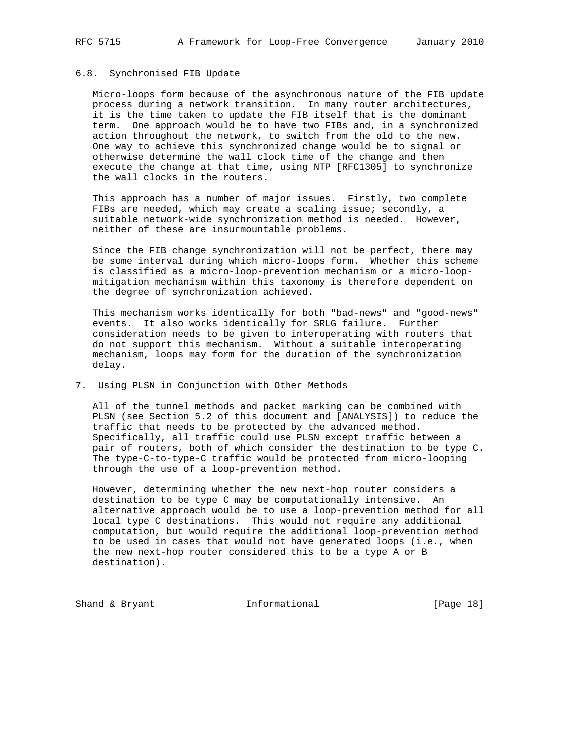### 6.8. Synchronised FIB Update

 Micro-loops form because of the asynchronous nature of the FIB update process during a network transition. In many router architectures, it is the time taken to update the FIB itself that is the dominant term. One approach would be to have two FIBs and, in a synchronized action throughout the network, to switch from the old to the new. One way to achieve this synchronized change would be to signal or otherwise determine the wall clock time of the change and then execute the change at that time, using NTP [RFC1305] to synchronize the wall clocks in the routers.

 This approach has a number of major issues. Firstly, two complete FIBs are needed, which may create a scaling issue; secondly, a suitable network-wide synchronization method is needed. However, neither of these are insurmountable problems.

 Since the FIB change synchronization will not be perfect, there may be some interval during which micro-loops form. Whether this scheme is classified as a micro-loop-prevention mechanism or a micro-loop mitigation mechanism within this taxonomy is therefore dependent on the degree of synchronization achieved.

 This mechanism works identically for both "bad-news" and "good-news" events. It also works identically for SRLG failure. Further consideration needs to be given to interoperating with routers that do not support this mechanism. Without a suitable interoperating mechanism, loops may form for the duration of the synchronization delay.

## 7. Using PLSN in Conjunction with Other Methods

 All of the tunnel methods and packet marking can be combined with PLSN (see Section 5.2 of this document and [ANALYSIS]) to reduce the traffic that needs to be protected by the advanced method. Specifically, all traffic could use PLSN except traffic between a pair of routers, both of which consider the destination to be type C. The type-C-to-type-C traffic would be protected from micro-looping through the use of a loop-prevention method.

 However, determining whether the new next-hop router considers a destination to be type C may be computationally intensive. An alternative approach would be to use a loop-prevention method for all local type C destinations. This would not require any additional computation, but would require the additional loop-prevention method to be used in cases that would not have generated loops (i.e., when the new next-hop router considered this to be a type A or B destination).

Shand & Bryant **Informational** [Page 18]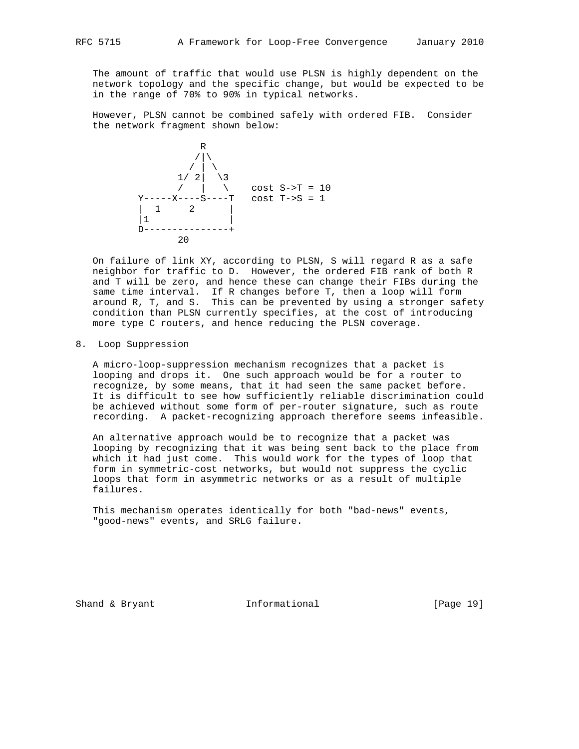The amount of traffic that would use PLSN is highly dependent on the network topology and the specific change, but would be expected to be in the range of 70% to 90% in typical networks.

 However, PLSN cannot be combined safely with ordered FIB. Consider the network fragment shown below:



 On failure of link XY, according to PLSN, S will regard R as a safe neighbor for traffic to D. However, the ordered FIB rank of both R and T will be zero, and hence these can change their FIBs during the same time interval. If R changes before T, then a loop will form around R, T, and S. This can be prevented by using a stronger safety condition than PLSN currently specifies, at the cost of introducing more type C routers, and hence reducing the PLSN coverage.

8. Loop Suppression

 A micro-loop-suppression mechanism recognizes that a packet is looping and drops it. One such approach would be for a router to recognize, by some means, that it had seen the same packet before. It is difficult to see how sufficiently reliable discrimination could be achieved without some form of per-router signature, such as route recording. A packet-recognizing approach therefore seems infeasible.

 An alternative approach would be to recognize that a packet was looping by recognizing that it was being sent back to the place from which it had just come. This would work for the types of loop that form in symmetric-cost networks, but would not suppress the cyclic loops that form in asymmetric networks or as a result of multiple failures.

 This mechanism operates identically for both "bad-news" events, "good-news" events, and SRLG failure.

Shand & Bryant **Informational** [Page 19]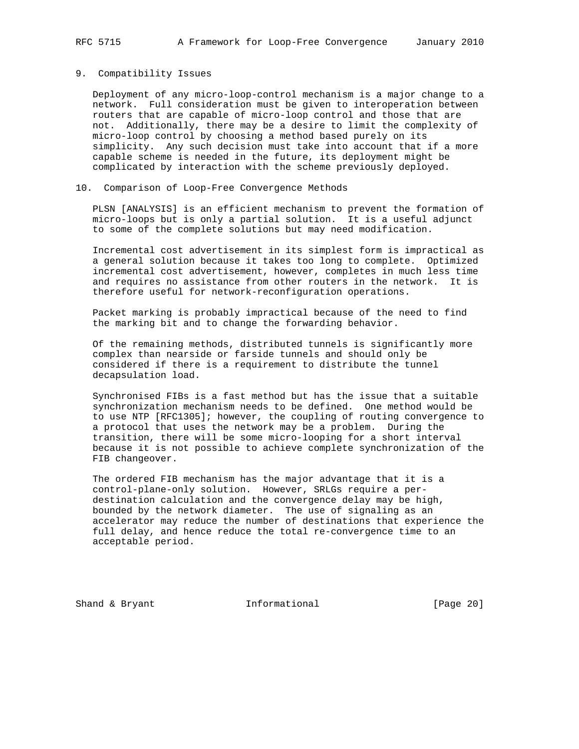#### 9. Compatibility Issues

 Deployment of any micro-loop-control mechanism is a major change to a network. Full consideration must be given to interoperation between routers that are capable of micro-loop control and those that are not. Additionally, there may be a desire to limit the complexity of micro-loop control by choosing a method based purely on its simplicity. Any such decision must take into account that if a more capable scheme is needed in the future, its deployment might be complicated by interaction with the scheme previously deployed.

### 10. Comparison of Loop-Free Convergence Methods

 PLSN [ANALYSIS] is an efficient mechanism to prevent the formation of micro-loops but is only a partial solution. It is a useful adjunct to some of the complete solutions but may need modification.

 Incremental cost advertisement in its simplest form is impractical as a general solution because it takes too long to complete. Optimized incremental cost advertisement, however, completes in much less time and requires no assistance from other routers in the network. It is therefore useful for network-reconfiguration operations.

 Packet marking is probably impractical because of the need to find the marking bit and to change the forwarding behavior.

 Of the remaining methods, distributed tunnels is significantly more complex than nearside or farside tunnels and should only be considered if there is a requirement to distribute the tunnel decapsulation load.

 Synchronised FIBs is a fast method but has the issue that a suitable synchronization mechanism needs to be defined. One method would be to use NTP [RFC1305]; however, the coupling of routing convergence to a protocol that uses the network may be a problem. During the transition, there will be some micro-looping for a short interval because it is not possible to achieve complete synchronization of the FIB changeover.

 The ordered FIB mechanism has the major advantage that it is a control-plane-only solution. However, SRLGs require a per destination calculation and the convergence delay may be high, bounded by the network diameter. The use of signaling as an accelerator may reduce the number of destinations that experience the full delay, and hence reduce the total re-convergence time to an acceptable period.

Shand & Bryant **Informational** [Page 20]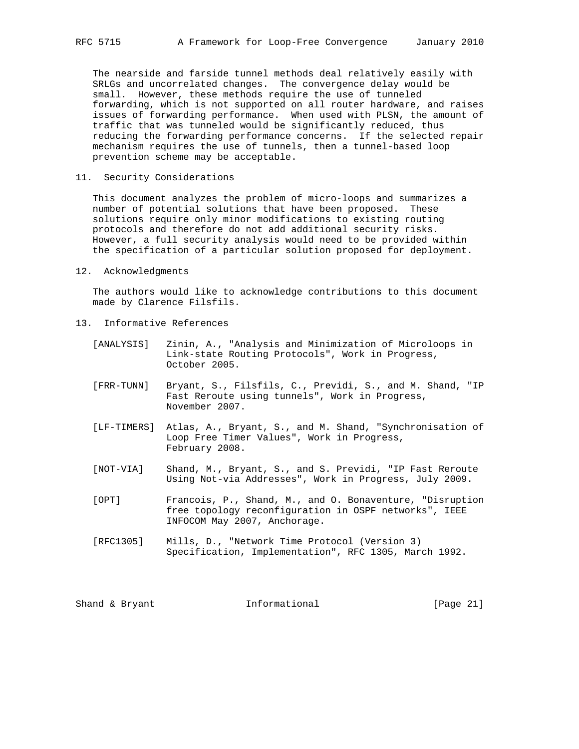The nearside and farside tunnel methods deal relatively easily with SRLGs and uncorrelated changes. The convergence delay would be small. However, these methods require the use of tunneled

 forwarding, which is not supported on all router hardware, and raises issues of forwarding performance. When used with PLSN, the amount of traffic that was tunneled would be significantly reduced, thus reducing the forwarding performance concerns. If the selected repair mechanism requires the use of tunnels, then a tunnel-based loop prevention scheme may be acceptable.

11. Security Considerations

 This document analyzes the problem of micro-loops and summarizes a number of potential solutions that have been proposed. These solutions require only minor modifications to existing routing protocols and therefore do not add additional security risks. However, a full security analysis would need to be provided within the specification of a particular solution proposed for deployment.

12. Acknowledgments

 The authors would like to acknowledge contributions to this document made by Clarence Filsfils.

- 13. Informative References
	- [ANALYSIS] Zinin, A., "Analysis and Minimization of Microloops in Link-state Routing Protocols", Work in Progress, October 2005.
	- [FRR-TUNN] Bryant, S., Filsfils, C., Previdi, S., and M. Shand, "IP Fast Reroute using tunnels", Work in Progress, November 2007.
	- [LF-TIMERS] Atlas, A., Bryant, S., and M. Shand, "Synchronisation of Loop Free Timer Values", Work in Progress, February 2008.
	- [NOT-VIA] Shand, M., Bryant, S., and S. Previdi, "IP Fast Reroute Using Not-via Addresses", Work in Progress, July 2009.
	- [OPT] Francois, P., Shand, M., and O. Bonaventure, "Disruption free topology reconfiguration in OSPF networks", IEEE INFOCOM May 2007, Anchorage.
	- [RFC1305] Mills, D., "Network Time Protocol (Version 3) Specification, Implementation", RFC 1305, March 1992.

| Informational<br>Shand & Bryant | [Page $21$ ] |
|---------------------------------|--------------|
|---------------------------------|--------------|